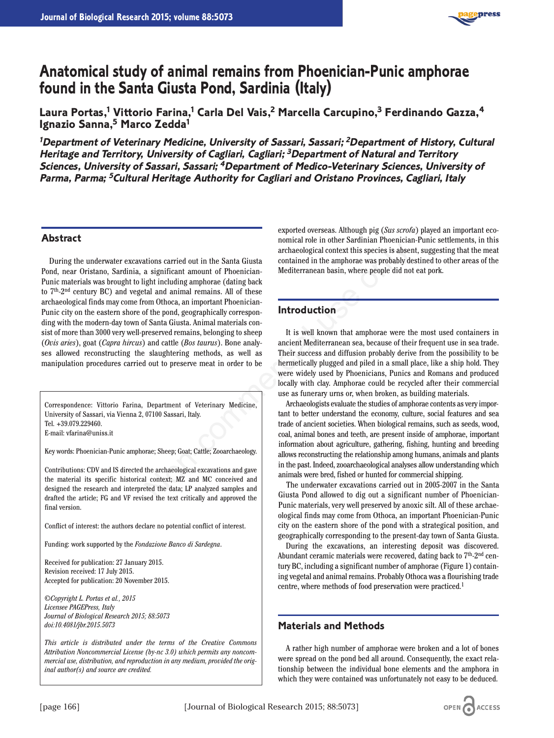

# **Anatomical study of animal remains from Phoenician-Punic amphorae found in the Santa Giusta Pond, Sardinia (Italy)**

**Laura Portas,1 Vittorio Farina,1 Carla Del Vais,2 Marcella Carcupino,3 Ferdinando Gazza,4 Ignazio Sanna,5 Marco Zedda1**

**<sup>1</sup>Department of Veterinary Medicine, University of Sassari, Sassari; <sup>2</sup>Department of History, Cultural Heritage and Territory, University of Cagliari, Cagliari; <sup>3</sup>Department of Natural and Territory Sciences, University of Sassari, Sassari; <sup>4</sup>Department of Medico-Veterinary Sciences, University of Parma, Parma; <sup>5</sup>Cultural Heritage Authority for Cagliari and Oristano Provinces, Cagliari, Italy**

## **Abstract**

During the underwater excavations carried out in the Santa Giusta Pond, near Oristano, Sardinia, a significant amount of Phoenician-Punic materials was brought to light including amphorae (dating back to 7th-2nd century BC) and vegetal and animal remains. All of these archaeological finds may come from Othoca, an important Phoenician-Punic city on the eastern shore of the pond, geographically corresponding with the modern-day town of Santa Giusta. Animal materials consist of more than 3000 very well-preserved remains, belonging to sheep (*Ovis aries*), goat (*Capra hircus*) and cattle (*Bos taurus*). Bone analyses allowed reconstructing the slaughtering methods, as well as manipulation procedures carried out to preserve meat in order to be nomical rote in the Santa Giusta<br>
archaeological context this species is absent<br>
a a significant amount of Phoenician-<br>
and Contained in the amphorae was probably de<br>
ight including amphorae (dating back<br>
and animal memain

Correspondence: Vittorio Farina, Department of Veterinary Medicine, University of Sassari, via Vienna 2, 07100 Sassari, Italy. Tel. +39.079.229460.

E-mail: vfarina@uniss.it

Key words: Phoenician-Punic amphorae; Sheep; Goat; Cattle; Zooarchaeology.

Contributions: CDV and IS directed the archaeological excavations and gave the material its specific historical context; MZ and MC conceived and designed the research and interpreted the data; LP analyzed samples and drafted the article; FG and VF revised the text critically and approved the final version.

Conflict of interest: the authors declare no potential conflict of interest.

Funding: work supported by the *Fondazione Banco di Sardegna*.

Received for publication: 27 January 2015. Revision received: 17 July 2015. Accepted for publication: 20 November 2015.

*©Copyright L. Portas et al., 2015 Licensee PAGEPress, Italy Journal of Biological Research 2015; 88:5073 doi:10.4081/jbr.2015.5073*

*This article is distributed under the terms of the Creative Commons Attribution Noncommercial License (by-nc 3.0) which permits any noncommercial use, distribution, and reproduction in any medium, provided the original author(s) and source are credited.*

exported overseas. Although pig (*Sus scrofa*) played an important economical role in other Sardinian Phoenician-Punic settlements, in this archaeological context this species is absent, suggesting that the meat contained in the amphorae was probably destined to other areas of the Mediterranean basin, where people did not eat pork.

# **Introduction**

It is well known that amphorae were the most used containers in ancient Mediterranean sea, because of their frequent use in sea trade. Their success and diffusion probably derive from the possibility to be hermetically plugged and piled in a small place, like a ship hold. They were widely used by Phoenicians, Punics and Romans and produced locally with clay. Amphorae could be recycled after their commercial use as funerary urns or, when broken, as building materials.

Archaeologists evaluate the studies of amphorae contents as very important to better understand the economy, culture, social features and sea trade of ancient societies. When biological remains, such as seeds, wood, coal, animal bones and teeth, are present inside of amphorae, important information about agriculture, gathering, fishing, hunting and breeding allows reconstructing the relationship among humans, animals and plants in the past. Indeed, zooarchaeological analyses allow understanding which animals were bred, fished or hunted for commercial shipping.

The underwater excavations carried out in 2005-2007 in the Santa Giusta Pond allowed to dig out a significant number of Phoenician-Punic materials, very well preserved by anoxic silt. All of these archaeological finds may come from Othoca, an important Phoenician-Punic city on the eastern shore of the pond with a strategical position, and geographically corresponding to the present-day town of Santa Giusta.

During the excavations, an interesting deposit was discovered. Abundant ceramic materials were recovered, dating back to  $7<sup>th</sup>$ -2<sup>nd</sup> century BC, including a significant number of amphorae (Figure 1) containing vegetal and animal remains. Probably Othoca was a flourishing trade centre, where methods of food preservation were practiced.1

# **Materials and Methods**

A rather high number of amphorae were broken and a lot of bones were spread on the pond bed all around. Consequently, the exact relationship between the individual bone elements and the amphora in which they were contained was unfortunately not easy to be deduced.

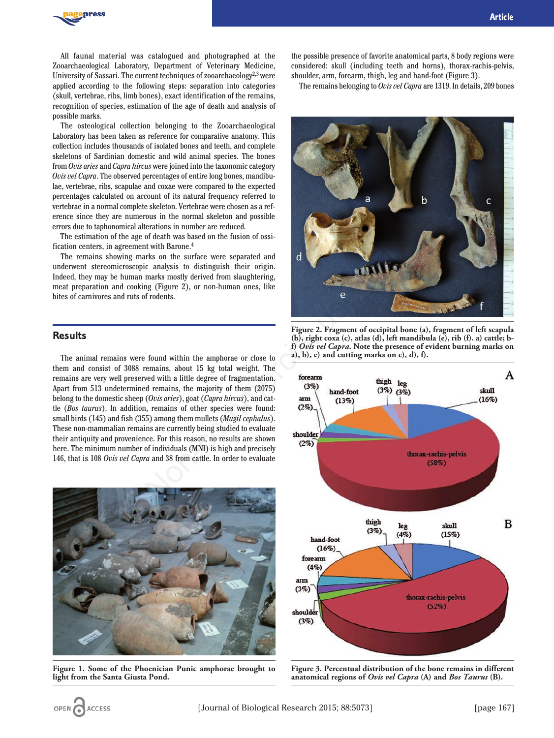

All faunal material was catalogued and photographed at the Zooarchaeological Laboratory, Department of Veterinary Medicine, University of Sassari. The current techniques of zooarchaeology<sup>2,3</sup> were applied according to the following steps: separation into categories (skull, vertebrae, ribs, limb bones), exact identification of the remains, recognition of species, estimation of the age of death and analysis of possible marks.

The osteological collection belonging to the Zooarchaeological Laboratory has been taken as reference for comparative anatomy. This collection includes thousands of isolated bones and teeth, and complete skeletons of Sardinian domestic and wild animal species. The bones from *Ovis aries* and *Capra hircus* were joined into the taxonomic category *Ovis vel Capra*. The observed percentages of entire long bones, mandibulae, vertebrae, ribs, scapulae and coxae were compared to the expected percentages calculated on account of its natural frequency referred to vertebrae in a normal complete skeleton. Vertebrae were chosen as a reference since they are numerous in the normal skeleton and possible errors due to taphonomical alterations in number are reduced.

The estimation of the age of death was based on the fusion of ossification centers, in agreement with Barone.4

The remains showing marks on the surface were separated and underwent stereomicroscopic analysis to distinguish their origin. Indeed, they may be human marks mostly derived from slaughtering, meat preparation and cooking (Figure 2), or non-human ones, like bites of carnivores and ruts of rodents.

### **Results**

The animal remains were found within the amphorae or close to them and consist of 3088 remains, about 15 kg total weight. The remains are very well preserved with a little degree of fragmentation. Apart from 513 undetermined remains, the majority of them (2075) belong to the domestic sheep (*Ovis aries*), goat (*Capra hircus*), and cattle (*Bos taurus*). In addition, remains of other species were found: small birds (145) and fish (355) among them mullets (*Mugil cephalus*). These non-mammalian remains are currently being studied to evaluate their antiquity and provenience. For this reason, no results are shown here. The minimum number of individuals (MNI) is high and precisely 146, that is 108 *Ovis vel Capra* and 38 from cattle. In order to evaluate



**Figure 1. Some of the Phoenician Punic amphorae brought to light from the Santa Giusta Pond.**

the possible presence of favorite anatomical parts, 8 body regions were considered: skull (including teeth and horns), thorax-rachis-pelvis, shoulder, arm, forearm, thigh, leg and hand-foot (Figure 3).

The remains belonging to *Ovis vel Capra* are 1319. In details, 209 bones







**Figure 3. Percentual distribution of the bone remains in different anatomical regions of** *Ovis vel Capra* **(A) and** *Bos Taurus* **(B).**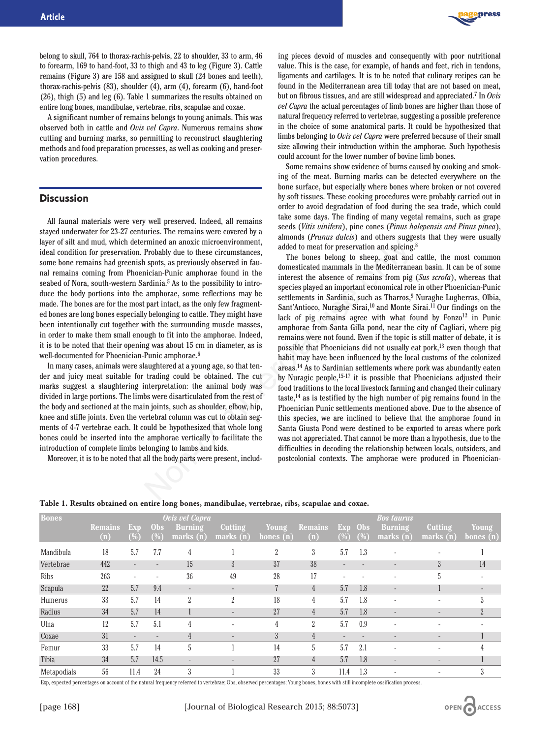belong to skull, 764 to thorax-rachis-pelvis, 22 to shoulder, 33 to arm, 46 to forearm, 169 to hand-foot, 33 to thigh and 43 to leg (Figure 3). Cattle remains (Figure 3) are 158 and assigned to skull (24 bones and teeth), thorax-rachis-pelvis (83), shoulder (4), arm (4), forearm (6), hand-foot (26), thigh (5) and leg (6). Table 1 summarizes the results obtained on entire long bones, mandibulae, vertebrae, ribs, scapulae and coxae.

A significant number of remains belongs to young animals. This was observed both in cattle and *Ovis vel Capra*. Numerous remains show cutting and burning marks, so permitting to reconstruct slaughtering methods and food preparation processes, as well as cooking and preservation procedures.

#### **Discussion**

All faunal materials were very well preserved. Indeed, all remains stayed underwater for 23-27 centuries. The remains were covered by a layer of silt and mud, which determined an anoxic microenvironment, ideal condition for preservation. Probably due to these circumstances, some bone remains had greenish spots, as previously observed in faunal remains coming from Phoenician-Punic amphorae found in the seabed of Nora, south-western Sardinia.<sup>5</sup> As to the possibility to introduce the body portions into the amphorae, some reflections may be made. The bones are for the most part intact, as the only few fragmented bones are long bones especially belonging to cattle. They might have been intentionally cut together with the surrounding muscle masses, in order to make them small enough to fit into the amphorae. Indeed, it is to be noted that their opening was about 15 cm in diameter, as is well-documented for Phoenician-Punic amphorae.<sup>6</sup>

In many cases, animals were slaughtered at a young age, so that tender and juicy meat suitable for trading could be obtained. The cut marks suggest a slaughtering interpretation: the animal body was divided in large portions. The limbs were disarticulated from the rest of the body and sectioned at the main joints, such as shoulder, elbow, hip, knee and stifle joints. Even the vertebral column was cut to obtain segments of 4-7 vertebrae each. It could be hypothesized that whole long bones could be inserted into the amphorae vertically to facilitate the introduction of complete limbs belonging to lambs and kids.

Moreover, it is to be noted that all the body parts were present, includ-



ing pieces devoid of muscles and consequently with poor nutritional value. This is the case, for example, of hands and feet, rich in tendons, ligaments and cartilages. It is to be noted that culinary recipes can be found in the Mediterranean area till today that are not based on meat, but on fibrous tissues, and are still widespread and appreciated.7 In *Ovis vel Capra* the actual percentages of limb bones are higher than those of natural frequency referred to vertebrae, suggesting a possible preference in the choice of some anatomical parts. It could be hypothesized that limbs belonging to *Ovis vel Capra* were preferred because of their small size allowing their introduction within the amphorae. Such hypothesis could account for the lower number of bovine limb bones.

Some remains show evidence of burns caused by cooking and smoking of the meat. Burning marks can be detected everywhere on the bone surface, but especially where bones where broken or not covered by soft tissues. These cooking procedures were probably carried out in order to avoid degradation of food during the sea trade, which could take some days. The finding of many vegetal remains, such as grape seeds (*Vitis vinifera*), pine cones (*Pinus halepensis and Pinus pinea*), almonds (*Prunus dulcis*) and others suggests that they were usually added to meat for preservation and spicing.8

The bones belong to sheep, goat and cattle, the most common domesticated mammals in the Mediterranean basin. It can be of some interest the absence of remains from pig (*Sus scrofa*), whereas that species played an important economical role in other Phoenician-Punic settlements in Sardinia, such as Tharros,<sup>9</sup> Nuraghe Lugherras, Olbia, Sant'Antioco, Nuraghe Sirai,<sup>10</sup> and Monte Sirai.<sup>11</sup> Our findings on the lack of pig remains agree with what found by Fonzo<sup>12</sup> in Punic amphorae from Santa Gilla pond, near the city of Cagliari, where pig remains were not found. Even if the topic is still matter of debate, it is possible that Phoenicians did not usually eat pork,<sup>13</sup> even though that habit may have been influenced by the local customs of the colonized areas.14 As to Sardinian settlements where pork was abundantly eaten by Nuragic people,15-17 it is possible that Phoenicians adjusted their food traditions to the local livestock farming and changed their culinary taste, $^{14}$  as is testified by the high number of pig remains found in the Phoenician Punic settlements mentioned above. Due to the absence of this species, we are inclined to believe that the amphorae found in Santa Giusta Pond were destined to be exported to areas where pork was not appreciated. That cannot be more than a hypothesis, due to the difficulties in decoding the relationship between locals, outsiders, and postcolonial contexts. The amphorae were produced in Phoenician mined an anoxic microenvironment,<br>
added to meat for preservation and spicing<br>
Probably due to these circumstances,<br>
and the domesticated nammals in the Mediterrane<br>
inferential and incentral in the definerated manuals in

| <b>Bones</b> | Ovis vel Capra |                          |                 |                          |                            |                           | <b>Bos taurus</b>     |        |                   |                            |                            |                    |
|--------------|----------------|--------------------------|-----------------|--------------------------|----------------------------|---------------------------|-----------------------|--------|-------------------|----------------------------|----------------------------|--------------------|
|              | Remains<br>(n) | Exp<br>$(\%)$            | Obs<br>(%)      | Burning<br>marks $(n)$   | <b>Cutting</b><br>marks(n) | <b>Young</b><br>bones (n) | <b>Remains</b><br>(n) | $(\%)$ | Exp Obs<br>$(\%)$ | <b>Burning</b><br>marks(n) | <b>Cutting</b><br>marks(n) | Young<br>bones (n) |
| Mandibula    | 18             | 5.7                      | 7.7             | 4                        |                            | $\overline{2}$            | 3                     | 5.7    | 1.3               |                            |                            |                    |
| Vertebrae    | 442            | $\overline{\phantom{a}}$ |                 | 15                       | 3                          | 37                        | 38                    |        |                   |                            | $\mathcal{S}$              | 14                 |
| <b>Ribs</b>  | 263            | $\overline{\phantom{a}}$ | ۰               | 36                       | 49                         | 28                        | 17                    |        |                   |                            | 5                          |                    |
| Scapula      | 22             | 5.7                      | 9.4             | $\overline{\phantom{a}}$ | $\overline{\phantom{a}}$   |                           | 4                     | 5.7    | 1.8               |                            |                            |                    |
| Humerus      | 33             | 5.7                      | 14              | 2                        | $\overline{2}$             | 18                        | 4                     | 5.7    | 1.8               |                            |                            |                    |
| Radius       | 34             | 5.7                      | 14              |                          | $\overline{\phantom{0}}$   | 27                        | $\overline{4}$        | 5.7    | 1.8               |                            | $\qquad \qquad =$          | $\overline{2}$     |
| Ulna         | 12             | 5.7                      | 5.1             | 4                        | ۰                          | 4                         | 2                     | 5.7    | 0.9               |                            |                            |                    |
| Coxae        | 31             | $\overline{\phantom{a}}$ | $\qquad \qquad$ | 4                        | $\qquad \qquad -$          | $\mathcal{S}$             | 4                     |        |                   |                            | $\qquad \qquad =$          |                    |
| Femur        | 33             | 5.7                      | 14              | 5                        |                            | 14                        | 5                     | 5.7    | 2.1               |                            |                            |                    |
| <b>Tibia</b> | 34             | 5.7                      | 14.5            | $\overline{\phantom{0}}$ | $\overline{\phantom{a}}$   | 27                        | 4                     | 5.7    | 1.8               |                            | $\qquad \qquad =$          |                    |
| Metapodials  | 56             | 11.4                     | 24              | 3                        |                            | 33                        | 3                     | 11.4   | 1.3               |                            |                            | 3                  |

**Table 1. Results obtained on entire long bones, mandibulae, vertebrae, ribs, scapulae and coxae.**

Exp, expected percentages on account of the natural frequency referred to vertebrae; Obs, observed percentages; Young bones, bones with still incomplete ossification process.